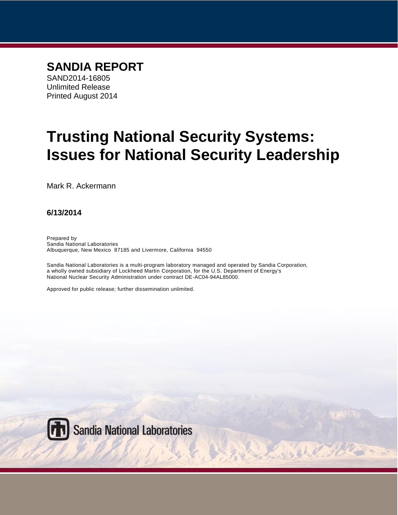**SANDIA REPORT** SAND2014-16805 Unlimited Release Printed August 2014

# **Trusting National Security Systems: Issues for National Security Leadership**

Mark R. Ackermann

**6/13/2014**

Prepared by Sandia National Laboratories Albuquerque, New Mexico 87185 and Livermore, California 94550

Sandia National Laboratories is a multi-program laboratory managed and operated by Sandia Corporation, a wholly owned subsidiary of Lockheed Martin Corporation, for the U.S. Department of Energy's National Nuclear Security Administration under contract DE-AC04-94AL85000.

Approved for public release; further dissemination unlimited.



**Sandia National Laboratories**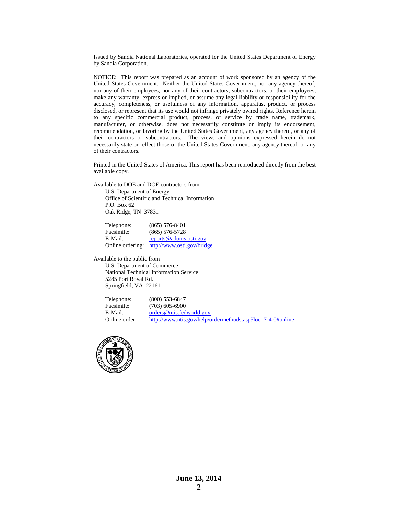Issued by Sandia National Laboratories, operated for the United States Department of Energy by Sandia Corporation.

NOTICE: This report was prepared as an account of work sponsored by an agency of the United States Government. Neither the United States Government, nor any agency thereof, nor any of their employees, nor any of their contractors, subcontractors, or their employees, make any warranty, express or implied, or assume any legal liability or responsibility for the accuracy, completeness, or usefulness of any information, apparatus, product, or process disclosed, or represent that its use would not infringe privately owned rights. Reference herein to any specific commercial product, process, or service by trade name, trademark, manufacturer, or otherwise, does not necessarily constitute or imply its endorsement, recommendation, or favoring by the United States Government, any agency thereof, or any of their contractors or subcontractors. The views and opinions expressed herein do not necessarily state or reflect those of the United States Government, any agency thereof, or any of their contractors.

Printed in the United States of America. This report has been reproduced directly from the best available copy.

Available to DOE and DOE contractors from

U.S. Department of Energy Office of Scientific and Technical Information P.O. Box 62 Oak Ridge, TN 37831

| Telephone:       | $(865) 576 - 8401$         |
|------------------|----------------------------|
| Facsimile:       | $(865)$ 576-5728           |
| E-Mail:          | reports@adonis.osti.gov    |
| Online ordering: | http://www.osti.gov/bridge |

Available to the public from U.S. Department of Commerce National Technical Information Service 5285 Port Royal Rd. Springfield, VA 22161

Telephone: (800) 553-6847 Facsimile: (703) 605-6900 E-Mail: [orders@ntis.fedworld.gov](mailto:orders@ntis.fedworld.gov) Online order: <http://www.ntis.gov/help/ordermethods.asp?loc=7-4-0#online>

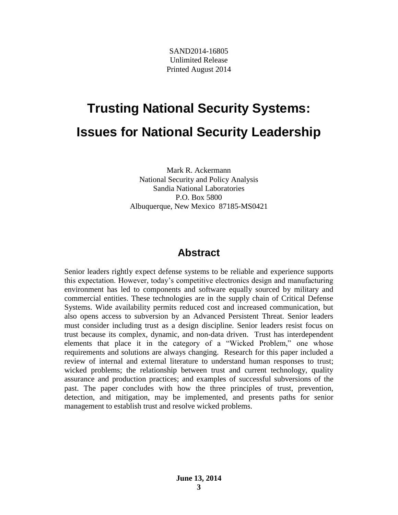SAND2014-16805 Unlimited Release Printed August 2014

# **Trusting National Security Systems: Issues for National Security Leadership**

Mark R. Ackermann National Security and Policy Analysis Sandia National Laboratories P.O. Box 5800 Albuquerque, New Mexico 87185-MS0421

## **Abstract**

Senior leaders rightly expect defense systems to be reliable and experience supports this expectation. However, today's competitive electronics design and manufacturing environment has led to components and software equally sourced by military and commercial entities. These technologies are in the supply chain of Critical Defense Systems. Wide availability permits reduced cost and increased communication, but also opens access to subversion by an Advanced Persistent Threat. Senior leaders must consider including trust as a design discipline. Senior leaders resist focus on trust because its complex, dynamic, and non-data driven. Trust has interdependent elements that place it in the category of a "Wicked Problem," one whose requirements and solutions are always changing. Research for this paper included a review of internal and external literature to understand human responses to trust; wicked problems; the relationship between trust and current technology, quality assurance and production practices; and examples of successful subversions of the past. The paper concludes with how the three principles of trust, prevention, detection, and mitigation, may be implemented, and presents paths for senior management to establish trust and resolve wicked problems.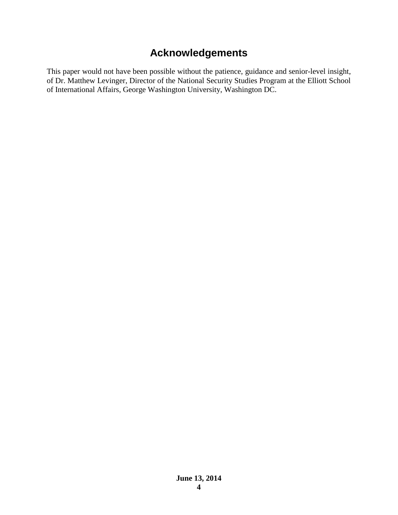## **Acknowledgements**

This paper would not have been possible without the patience, guidance and senior-level insight, of Dr. Matthew Levinger, Director of the National Security Studies Program at the Elliott School of International Affairs, George Washington University, Washington DC.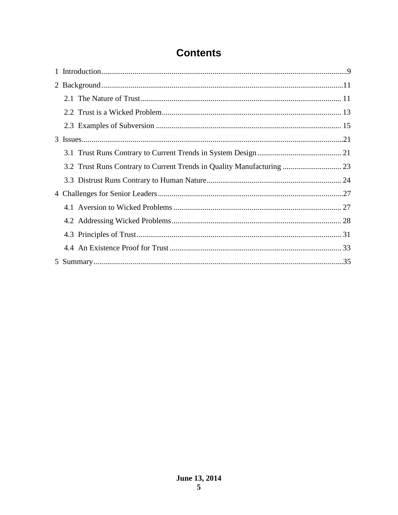| 3.2 Trust Runs Contrary to Current Trends in Quality Manufacturing  23 |  |
|------------------------------------------------------------------------|--|
|                                                                        |  |
|                                                                        |  |
|                                                                        |  |
|                                                                        |  |
|                                                                        |  |
|                                                                        |  |
|                                                                        |  |

# **Contents**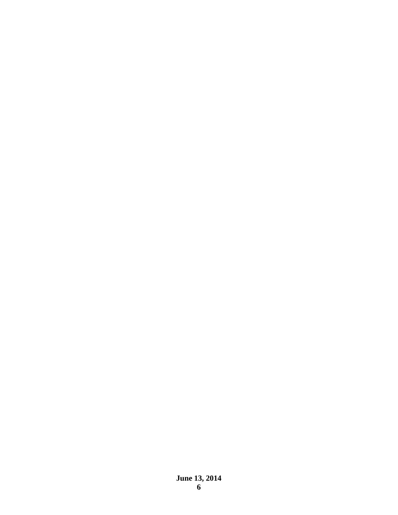#### **June 13, 2014 6**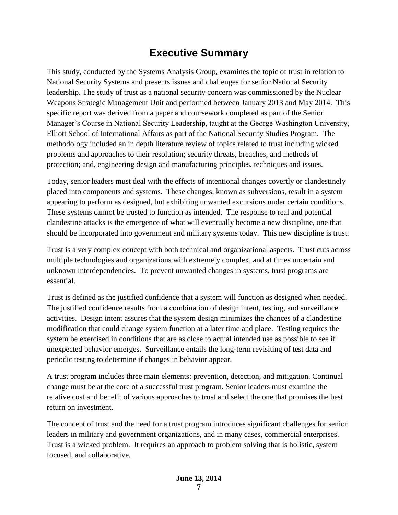# **Executive Summary**

This study, conducted by the Systems Analysis Group, examines the topic of trust in relation to National Security Systems and presents issues and challenges for senior National Security leadership. The study of trust as a national security concern was commissioned by the Nuclear Weapons Strategic Management Unit and performed between January 2013 and May 2014. This specific report was derived from a paper and coursework completed as part of the Senior Manager's Course in National Security Leadership, taught at the George Washington University, Elliott School of International Affairs as part of the National Security Studies Program. The methodology included an in depth literature review of topics related to trust including wicked problems and approaches to their resolution; security threats, breaches, and methods of protection; and, engineering design and manufacturing principles, techniques and issues.

Today, senior leaders must deal with the effects of intentional changes covertly or clandestinely placed into components and systems. These changes, known as subversions, result in a system appearing to perform as designed, but exhibiting unwanted excursions under certain conditions. These systems cannot be trusted to function as intended. The response to real and potential clandestine attacks is the emergence of what will eventually become a new discipline, one that should be incorporated into government and military systems today. This new discipline is trust.

Trust is a very complex concept with both technical and organizational aspects. Trust cuts across multiple technologies and organizations with extremely complex, and at times uncertain and unknown interdependencies. To prevent unwanted changes in systems, trust programs are essential.

Trust is defined as the justified confidence that a system will function as designed when needed. The justified confidence results from a combination of design intent, testing, and surveillance activities. Design intent assures that the system design minimizes the chances of a clandestine modification that could change system function at a later time and place. Testing requires the system be exercised in conditions that are as close to actual intended use as possible to see if unexpected behavior emerges. Surveillance entails the long-term revisiting of test data and periodic testing to determine if changes in behavior appear.

A trust program includes three main elements: prevention, detection, and mitigation. Continual change must be at the core of a successful trust program. Senior leaders must examine the relative cost and benefit of various approaches to trust and select the one that promises the best return on investment.

The concept of trust and the need for a trust program introduces significant challenges for senior leaders in military and government organizations, and in many cases, commercial enterprises. Trust is a wicked problem. It requires an approach to problem solving that is holistic, system focused, and collaborative.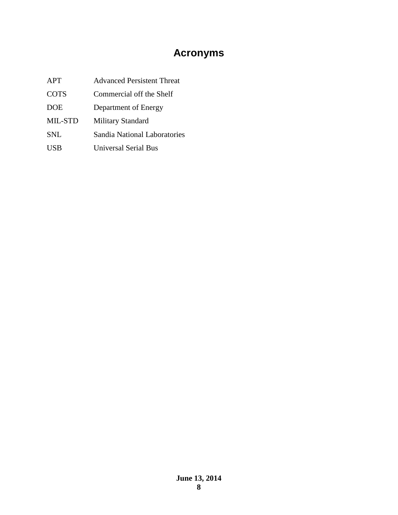# **Acronyms**

| APT         | <b>Advanced Persistent Threat</b>   |
|-------------|-------------------------------------|
| <b>COTS</b> | Commercial off the Shelf            |
| <b>DOE</b>  | Department of Energy                |
| MIL-STD     | <b>Military Standard</b>            |
| <b>SNL</b>  | <b>Sandia National Laboratories</b> |
| <b>USB</b>  | <b>Universal Serial Bus</b>         |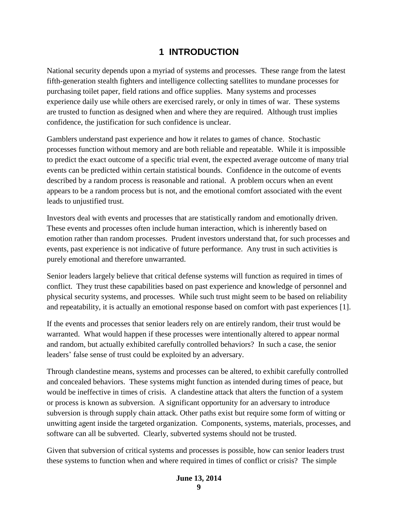## **1 INTRODUCTION**

<span id="page-8-0"></span>National security depends upon a myriad of systems and processes. These range from the latest fifth-generation stealth fighters and intelligence collecting satellites to mundane processes for purchasing toilet paper, field rations and office supplies. Many systems and processes experience daily use while others are exercised rarely, or only in times of war. These systems are trusted to function as designed when and where they are required. Although trust implies confidence, the justification for such confidence is unclear.

Gamblers understand past experience and how it relates to games of chance. Stochastic processes function without memory and are both reliable and repeatable. While it is impossible to predict the exact outcome of a specific trial event, the expected average outcome of many trial events can be predicted within certain statistical bounds. Confidence in the outcome of events described by a random process is reasonable and rational. A problem occurs when an event appears to be a random process but is not, and the emotional comfort associated with the event leads to unjustified trust.

Investors deal with events and processes that are statistically random and emotionally driven. These events and processes often include human interaction, which is inherently based on emotion rather than random processes. Prudent investors understand that, for such processes and events, past experience is not indicative of future performance. Any trust in such activities is purely emotional and therefore unwarranted.

Senior leaders largely believe that critical defense systems will function as required in times of conflict. They trust these capabilities based on past experience and knowledge of personnel and physical security systems, and processes. While such trust might seem to be based on reliability and repeatability, it is actually an emotional response based on comfort with past experiences [\[1\]](#page-36-0).

If the events and processes that senior leaders rely on are entirely random, their trust would be warranted. What would happen if these processes were intentionally altered to appear normal and random, but actually exhibited carefully controlled behaviors? In such a case, the senior leaders' false sense of trust could be exploited by an adversary.

Through clandestine means, systems and processes can be altered, to exhibit carefully controlled and concealed behaviors. These systems might function as intended during times of peace, but would be ineffective in times of crisis. A clandestine attack that alters the function of a system or process is known as subversion. A significant opportunity for an adversary to introduce subversion is through supply chain attack. Other paths exist but require some form of witting or unwitting agent inside the targeted organization. Components, systems, materials, processes, and software can all be subverted. Clearly, subverted systems should not be trusted.

Given that subversion of critical systems and processes is possible, how can senior leaders trust these systems to function when and where required in times of conflict or crisis? The simple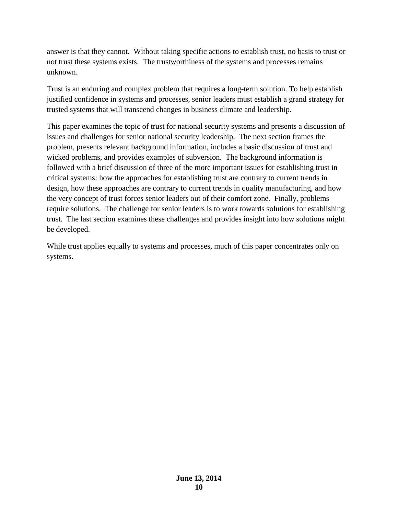answer is that they cannot. Without taking specific actions to establish trust, no basis to trust or not trust these systems exists. The trustworthiness of the systems and processes remains unknown.

Trust is an enduring and complex problem that requires a long-term solution. To help establish justified confidence in systems and processes, senior leaders must establish a grand strategy for trusted systems that will transcend changes in business climate and leadership.

This paper examines the topic of trust for national security systems and presents a discussion of issues and challenges for senior national security leadership. The next section frames the problem, presents relevant background information, includes a basic discussion of trust and wicked problems, and provides examples of subversion. The background information is followed with a brief discussion of three of the more important issues for establishing trust in critical systems: how the approaches for establishing trust are contrary to current trends in design, how these approaches are contrary to current trends in quality manufacturing, and how the very concept of trust forces senior leaders out of their comfort zone. Finally, problems require solutions. The challenge for senior leaders is to work towards solutions for establishing trust. The last section examines these challenges and provides insight into how solutions might be developed.

While trust applies equally to systems and processes, much of this paper concentrates only on systems.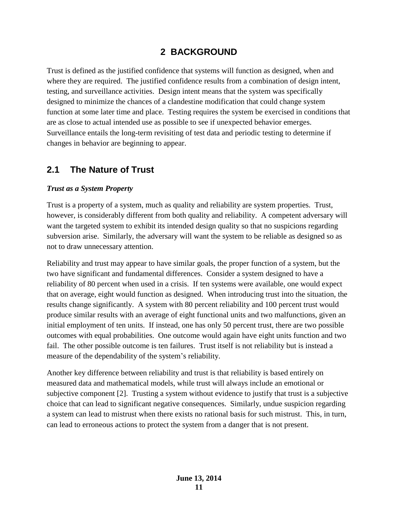## **2 BACKGROUND**

<span id="page-10-0"></span>Trust is defined as the justified confidence that systems will function as designed, when and where they are required. The justified confidence results from a combination of design intent, testing, and surveillance activities. Design intent means that the system was specifically designed to minimize the chances of a clandestine modification that could change system function at some later time and place. Testing requires the system be exercised in conditions that are as close to actual intended use as possible to see if unexpected behavior emerges. Surveillance entails the long-term revisiting of test data and periodic testing to determine if changes in behavior are beginning to appear.

## <span id="page-10-1"></span>**2.1 The Nature of Trust**

## *Trust as a System Property*

Trust is a property of a system, much as quality and reliability are system properties. Trust, however, is considerably different from both quality and reliability. A competent adversary will want the targeted system to exhibit its intended design quality so that no suspicions regarding subversion arise. Similarly, the adversary will want the system to be reliable as designed so as not to draw unnecessary attention.

Reliability and trust may appear to have similar goals, the proper function of a system, but the two have significant and fundamental differences. Consider a system designed to have a reliability of 80 percent when used in a crisis. If ten systems were available, one would expect that on average, eight would function as designed. When introducing trust into the situation, the results change significantly. A system with 80 percent reliability and 100 percent trust would produce similar results with an average of eight functional units and two malfunctions, given an initial employment of ten units. If instead, one has only 50 percent trust, there are two possible outcomes with equal probabilities. One outcome would again have eight units function and two fail. The other possible outcome is ten failures. Trust itself is not reliability but is instead a measure of the dependability of the system's reliability.

Another key difference between reliability and trust is that reliability is based entirely on measured data and mathematical models, while trust will always include an emotional or subjective component [\[2\]](#page-36-1). Trusting a system without evidence to justify that trust is a subjective choice that can lead to significant negative consequences. Similarly, undue suspicion regarding a system can lead to mistrust when there exists no rational basis for such mistrust. This, in turn, can lead to erroneous actions to protect the system from a danger that is not present.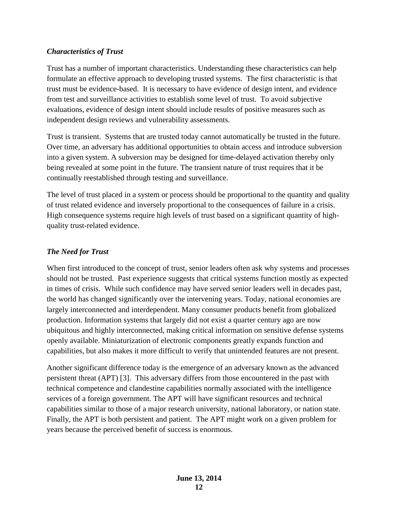## *Characteristics of Trust*

Trust has a number of important characteristics. Understanding these characteristics can help formulate an effective approach to developing trusted systems. The first characteristic is that trust must be evidence-based. It is necessary to have evidence of design intent, and evidence from test and surveillance activities to establish some level of trust. To avoid subjective evaluations, evidence of design intent should include results of positive measures such as independent design reviews and vulnerability assessments.

Trust is transient. Systems that are trusted today cannot automatically be trusted in the future. Over time, an adversary has additional opportunities to obtain access and introduce subversion into a given system. A subversion may be designed for time-delayed activation thereby only being revealed at some point in the future. The transient nature of trust requires that it be continually reestablished through testing and surveillance.

The level of trust placed in a system or process should be proportional to the quantity and quality of trust related evidence and inversely proportional to the consequences of failure in a crisis. High consequence systems require high levels of trust based on a significant quantity of highquality trust-related evidence.

#### *The Need for Trust*

When first introduced to the concept of trust, senior leaders often ask why systems and processes should not be trusted. Past experience suggests that critical systems function mostly as expected in times of crisis. While such confidence may have served senior leaders well in decades past, the world has changed significantly over the intervening years. Today, national economies are largely interconnected and interdependent. Many consumer products benefit from globalized production. Information systems that largely did not exist a quarter century ago are now ubiquitous and highly interconnected, making critical information on sensitive defense systems openly available. Miniaturization of electronic components greatly expands function and capabilities, but also makes it more difficult to verify that unintended features are not present.

Another significant difference today is the emergence of an adversary known as the advanced persistent threat (APT) [\[3\]](#page-36-2). This adversary differs from those encountered in the past with technical competence and clandestine capabilities normally associated with the intelligence services of a foreign government. The APT will have significant resources and technical capabilities similar to those of a major research university, national laboratory, or nation state. Finally, the APT is both persistent and patient. The APT might work on a given problem for years because the perceived benefit of success is enormous.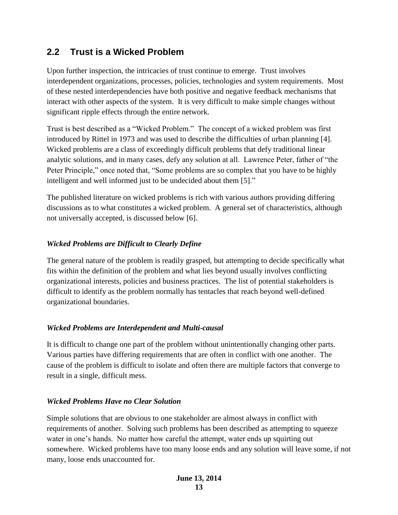## <span id="page-12-0"></span>**2.2 Trust is a Wicked Problem**

Upon further inspection, the intricacies of trust continue to emerge. Trust involves interdependent organizations, processes, policies, technologies and system requirements. Most of these nested interdependencies have both positive and negative feedback mechanisms that interact with other aspects of the system. It is very difficult to make simple changes without significant ripple effects through the entire network.

Trust is best described as a "Wicked Problem." The concept of a wicked problem was first introduced by Rittel in 1973 and was used to describe the difficulties of urban planning [\[4\]](#page-36-3). Wicked problems are a class of exceedingly difficult problems that defy traditional linear analytic solutions, and in many cases, defy any solution at all. Lawrence Peter, father of "the Peter Principle," once noted that, "Some problems are so complex that you have to be highly intelligent and well informed just to be undecided about them [\[5\]](#page-36-4)."

The published literature on wicked problems is rich with various authors providing differing discussions as to what constitutes a wicked problem. A general set of characteristics, although not universally accepted, is discussed below [\[6\]](#page-36-5).

## *Wicked Problems are Difficult to Clearly Define*

The general nature of the problem is readily grasped, but attempting to decide specifically what fits within the definition of the problem and what lies beyond usually involves conflicting organizational interests, policies and business practices. The list of potential stakeholders is difficult to identify as the problem normally has tentacles that reach beyond well-defined organizational boundaries.

## *Wicked Problems are Interdependent and Multi-causal*

It is difficult to change one part of the problem without unintentionally changing other parts. Various parties have differing requirements that are often in conflict with one another. The cause of the problem is difficult to isolate and often there are multiple factors that converge to result in a single, difficult mess.

#### *Wicked Problems Have no Clear Solution*

Simple solutions that are obvious to one stakeholder are almost always in conflict with requirements of another. Solving such problems has been described as attempting to squeeze water in one's hands. No matter how careful the attempt, water ends up squirting out somewhere. Wicked problems have too many loose ends and any solution will leave some, if not many, loose ends unaccounted for.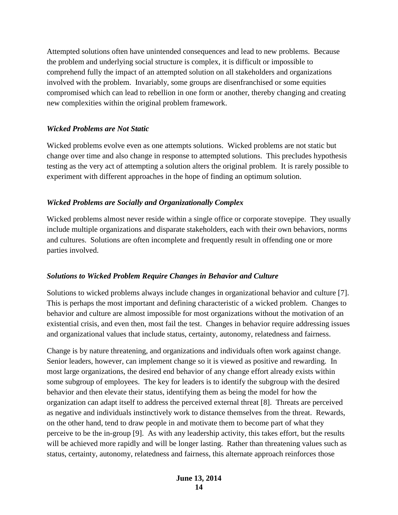Attempted solutions often have unintended consequences and lead to new problems. Because the problem and underlying social structure is complex, it is difficult or impossible to comprehend fully the impact of an attempted solution on all stakeholders and organizations involved with the problem. Invariably, some groups are disenfranchised or some equities compromised which can lead to rebellion in one form or another, thereby changing and creating new complexities within the original problem framework.

#### *Wicked Problems are Not Static*

Wicked problems evolve even as one attempts solutions. Wicked problems are not static but change over time and also change in response to attempted solutions. This precludes hypothesis testing as the very act of attempting a solution alters the original problem. It is rarely possible to experiment with different approaches in the hope of finding an optimum solution.

#### *Wicked Problems are Socially and Organizationally Complex*

Wicked problems almost never reside within a single office or corporate stovepipe. They usually include multiple organizations and disparate stakeholders, each with their own behaviors, norms and cultures. Solutions are often incomplete and frequently result in offending one or more parties involved.

## *Solutions to Wicked Problem Require Changes in Behavior and Culture*

Solutions to wicked problems always include changes in organizational behavior and culture [\[7\]](#page-36-6). This is perhaps the most important and defining characteristic of a wicked problem. Changes to behavior and culture are almost impossible for most organizations without the motivation of an existential crisis, and even then, most fail the test. Changes in behavior require addressing issues and organizational values that include status, certainty, autonomy, relatedness and fairness.

Change is by nature threatening, and organizations and individuals often work against change. Senior leaders, however, can implement change so it is viewed as positive and rewarding. In most large organizations, the desired end behavior of any change effort already exists within some subgroup of employees. The key for leaders is to identify the subgroup with the desired behavior and then elevate their status, identifying them as being the model for how the organization can adapt itself to address the perceived external threat [\[8\]](#page-36-7). Threats are perceived as negative and individuals instinctively work to distance themselves from the threat. Rewards, on the other hand, tend to draw people in and motivate them to become part of what they perceive to be the in-group [\[9\]](#page-36-8). As with any leadership activity, this takes effort, but the results will be achieved more rapidly and will be longer lasting. Rather than threatening values such as status, certainty, autonomy, relatedness and fairness, this alternate approach reinforces those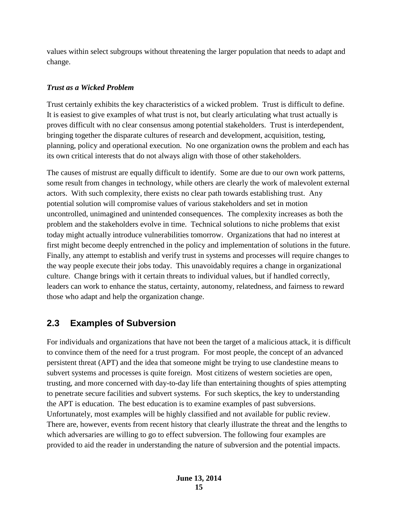values within select subgroups without threatening the larger population that needs to adapt and change.

## *Trust as a Wicked Problem*

Trust certainly exhibits the key characteristics of a wicked problem. Trust is difficult to define. It is easiest to give examples of what trust is not, but clearly articulating what trust actually is proves difficult with no clear consensus among potential stakeholders. Trust is interdependent, bringing together the disparate cultures of research and development, acquisition, testing, planning, policy and operational execution. No one organization owns the problem and each has its own critical interests that do not always align with those of other stakeholders.

The causes of mistrust are equally difficult to identify. Some are due to our own work patterns, some result from changes in technology, while others are clearly the work of malevolent external actors. With such complexity, there exists no clear path towards establishing trust. Any potential solution will compromise values of various stakeholders and set in motion uncontrolled, unimagined and unintended consequences. The complexity increases as both the problem and the stakeholders evolve in time. Technical solutions to niche problems that exist today might actually introduce vulnerabilities tomorrow. Organizations that had no interest at first might become deeply entrenched in the policy and implementation of solutions in the future. Finally, any attempt to establish and verify trust in systems and processes will require changes to the way people execute their jobs today. This unavoidably requires a change in organizational culture. Change brings with it certain threats to individual values, but if handled correctly, leaders can work to enhance the status, certainty, autonomy, relatedness, and fairness to reward those who adapt and help the organization change.

## <span id="page-14-0"></span>**2.3 Examples of Subversion**

For individuals and organizations that have not been the target of a malicious attack, it is difficult to convince them of the need for a trust program. For most people, the concept of an advanced persistent threat (APT) and the idea that someone might be trying to use clandestine means to subvert systems and processes is quite foreign. Most citizens of western societies are open, trusting, and more concerned with day-to-day life than entertaining thoughts of spies attempting to penetrate secure facilities and subvert systems. For such skeptics, the key to understanding the APT is education. The best education is to examine examples of past subversions. Unfortunately, most examples will be highly classified and not available for public review. There are, however, events from recent history that clearly illustrate the threat and the lengths to which adversaries are willing to go to effect subversion. The following four examples are provided to aid the reader in understanding the nature of subversion and the potential impacts.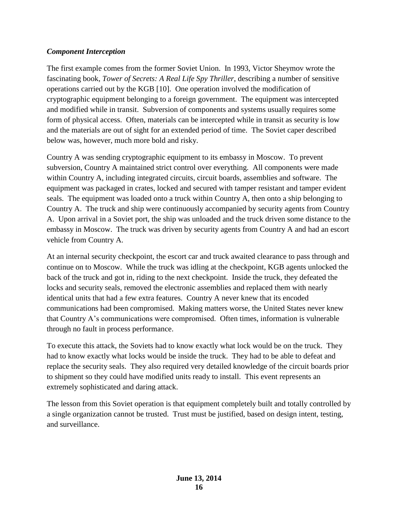#### *Component Interception*

The first example comes from the former Soviet Union. In 1993, Victor Sheymov wrote the fascinating book, *Tower of Secrets: A Real Life Spy Thriller*, describing a number of sensitive operations carried out by the KGB [\[10\]](#page-36-9). One operation involved the modification of cryptographic equipment belonging to a foreign government. The equipment was intercepted and modified while in transit. Subversion of components and systems usually requires some form of physical access. Often, materials can be intercepted while in transit as security is low and the materials are out of sight for an extended period of time. The Soviet caper described below was, however, much more bold and risky.

Country A was sending cryptographic equipment to its embassy in Moscow. To prevent subversion, Country A maintained strict control over everything. All components were made within Country A, including integrated circuits, circuit boards, assemblies and software. The equipment was packaged in crates, locked and secured with tamper resistant and tamper evident seals. The equipment was loaded onto a truck within Country A, then onto a ship belonging to Country A. The truck and ship were continuously accompanied by security agents from Country A. Upon arrival in a Soviet port, the ship was unloaded and the truck driven some distance to the embassy in Moscow. The truck was driven by security agents from Country A and had an escort vehicle from Country A.

At an internal security checkpoint, the escort car and truck awaited clearance to pass through and continue on to Moscow. While the truck was idling at the checkpoint, KGB agents unlocked the back of the truck and got in, riding to the next checkpoint. Inside the truck, they defeated the locks and security seals, removed the electronic assemblies and replaced them with nearly identical units that had a few extra features. Country A never knew that its encoded communications had been compromised. Making matters worse, the United States never knew that Country A's communications were compromised. Often times, information is vulnerable through no fault in process performance.

To execute this attack, the Soviets had to know exactly what lock would be on the truck. They had to know exactly what locks would be inside the truck. They had to be able to defeat and replace the security seals. They also required very detailed knowledge of the circuit boards prior to shipment so they could have modified units ready to install. This event represents an extremely sophisticated and daring attack.

The lesson from this Soviet operation is that equipment completely built and totally controlled by a single organization cannot be trusted. Trust must be justified, based on design intent, testing, and surveillance.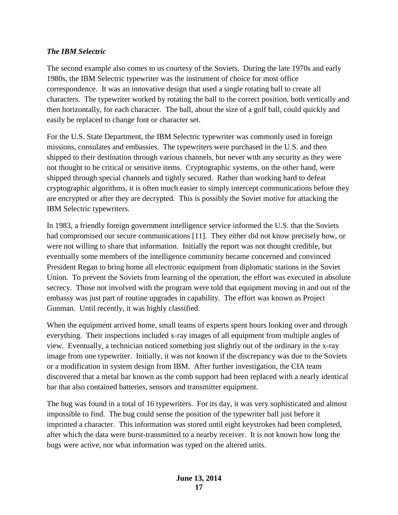#### *The IBM Selectric*

The second example also comes to us courtesy of the Soviets. During the late 1970s and early 1980s, the IBM Selectric typewriter was the instrument of choice for most office correspondence. It was an innovative design that used a single rotating ball to create all characters. The typewriter worked by rotating the ball to the correct position, both vertically and then horizontally, for each character. The ball, about the size of a golf ball, could quickly and easily be replaced to change font or character set.

For the U.S. State Department, the IBM Selectric typewriter was commonly used in foreign missions, consulates and embassies. The typewriters were purchased in the U.S. and then shipped to their destination through various channels, but never with any security as they were not thought to be critical or sensitive items. Cryptographic systems, on the other hand, were shipped through special channels and tightly secured. Rather than working hard to defeat cryptographic algorithms, it is often much easier to simply intercept communications before they are encrypted or after they are decrypted. This is possibly the Soviet motive for attacking the IBM Selectric typewriters.

In 1983, a friendly foreign government intelligence service informed the U.S. that the Soviets had compromised our secure communications [\[11\]](#page-36-10). They either did not know precisely how, or were not willing to share that information. Initially the report was not thought credible, but eventually some members of the intelligence community became concerned and convinced President Regan to bring home all electronic equipment from diplomatic stations in the Soviet Union. To prevent the Soviets from learning of the operation, the effort was executed in absolute secrecy. Those not involved with the program were told that equipment moving in and out of the embassy was just part of routine upgrades in capability. The effort was known as Project Gunman. Until recently, it was highly classified.

When the equipment arrived home, small teams of experts spent hours looking over and through everything. Their inspections included x-ray images of all equipment from multiple angles of view. Eventually, a technician noticed something just slightly out of the ordinary in the x-ray image from one typewriter. Initially, it was not known if the discrepancy was due to the Soviets or a modification in system design from IBM. After further investigation, the CIA team discovered that a metal bar known as the comb support had been replaced with a nearly identical bar that also contained batteries, sensors and transmitter equipment.

The bug was found in a total of 16 typewriters. For its day, it was very sophisticated and almost impossible to find. The bug could sense the position of the typewriter ball just before it imprinted a character. This information was stored until eight keystrokes had been completed, after which the data were burst-transmitted to a nearby receiver. It is not known how long the bugs were active, nor what information was typed on the altered units.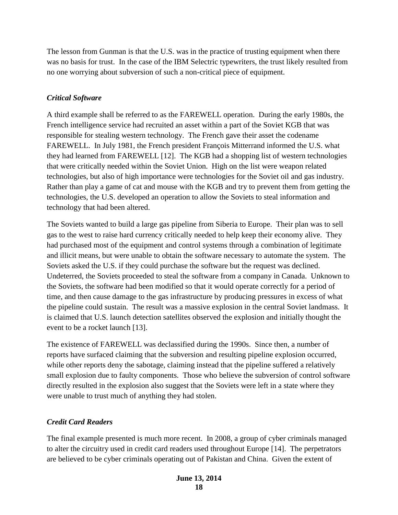The lesson from Gunman is that the U.S. was in the practice of trusting equipment when there was no basis for trust. In the case of the IBM Selectric typewriters, the trust likely resulted from no one worrying about subversion of such a non-critical piece of equipment.

#### *Critical Software*

A third example shall be referred to as the FAREWELL operation. During the early 1980s, the French intelligence service had recruited an asset within a part of the Soviet KGB that was responsible for stealing western technology. The French gave their asset the codename FAREWELL. In July 1981, the French president François Mitterrand informed the U.S. what they had learned from FAREWELL [\[12\]](#page-36-11). The KGB had a shopping list of western technologies that were critically needed within the Soviet Union. High on the list were weapon related technologies, but also of high importance were technologies for the Soviet oil and gas industry. Rather than play a game of cat and mouse with the KGB and try to prevent them from getting the technologies, the U.S. developed an operation to allow the Soviets to steal information and technology that had been altered.

The Soviets wanted to build a large gas pipeline from Siberia to Europe. Their plan was to sell gas to the west to raise hard currency critically needed to help keep their economy alive. They had purchased most of the equipment and control systems through a combination of legitimate and illicit means, but were unable to obtain the software necessary to automate the system. The Soviets asked the U.S. if they could purchase the software but the request was declined. Undeterred, the Soviets proceeded to steal the software from a company in Canada. Unknown to the Soviets, the software had been modified so that it would operate correctly for a period of time, and then cause damage to the gas infrastructure by producing pressures in excess of what the pipeline could sustain. The result was a massive explosion in the central Soviet landmass. It is claimed that U.S. launch detection satellites observed the explosion and initially thought the event to be a rocket launch [\[13\]](#page-36-12).

The existence of FAREWELL was declassified during the 1990s. Since then, a number of reports have surfaced claiming that the subversion and resulting pipeline explosion occurred, while other reports deny the sabotage, claiming instead that the pipeline suffered a relatively small explosion due to faulty components. Those who believe the subversion of control software directly resulted in the explosion also suggest that the Soviets were left in a state where they were unable to trust much of anything they had stolen.

## *Credit Card Readers*

The final example presented is much more recent. In 2008, a group of cyber criminals managed to alter the circuitry used in credit card readers used throughout Europe [\[14\]](#page-36-13). The perpetrators are believed to be cyber criminals operating out of Pakistan and China. Given the extent of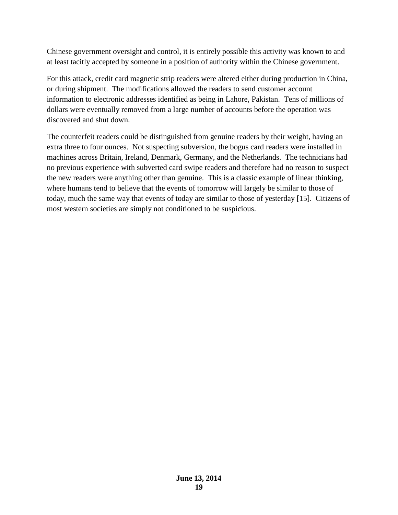Chinese government oversight and control, it is entirely possible this activity was known to and at least tacitly accepted by someone in a position of authority within the Chinese government.

For this attack, credit card magnetic strip readers were altered either during production in China, or during shipment. The modifications allowed the readers to send customer account information to electronic addresses identified as being in Lahore, Pakistan. Tens of millions of dollars were eventually removed from a large number of accounts before the operation was discovered and shut down.

The counterfeit readers could be distinguished from genuine readers by their weight, having an extra three to four ounces. Not suspecting subversion, the bogus card readers were installed in machines across Britain, Ireland, Denmark, Germany, and the Netherlands. The technicians had no previous experience with subverted card swipe readers and therefore had no reason to suspect the new readers were anything other than genuine. This is a classic example of linear thinking, where humans tend to believe that the events of tomorrow will largely be similar to those of today, much the same way that events of today are similar to those of yesterday [\[15\]](#page-36-14). Citizens of most western societies are simply not conditioned to be suspicious.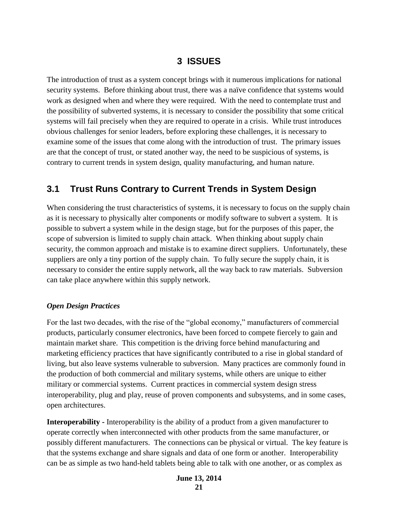## **3 ISSUES**

<span id="page-20-0"></span>The introduction of trust as a system concept brings with it numerous implications for national security systems. Before thinking about trust, there was a naïve confidence that systems would work as designed when and where they were required. With the need to contemplate trust and the possibility of subverted systems, it is necessary to consider the possibility that some critical systems will fail precisely when they are required to operate in a crisis. While trust introduces obvious challenges for senior leaders, before exploring these challenges, it is necessary to examine some of the issues that come along with the introduction of trust. The primary issues are that the concept of trust, or stated another way, the need to be suspicious of systems, is contrary to current trends in system design, quality manufacturing, and human nature.

## <span id="page-20-1"></span>**3.1 Trust Runs Contrary to Current Trends in System Design**

When considering the trust characteristics of systems, it is necessary to focus on the supply chain as it is necessary to physically alter components or modify software to subvert a system. It is possible to subvert a system while in the design stage, but for the purposes of this paper, the scope of subversion is limited to supply chain attack. When thinking about supply chain security, the common approach and mistake is to examine direct suppliers. Unfortunately, these suppliers are only a tiny portion of the supply chain. To fully secure the supply chain, it is necessary to consider the entire supply network, all the way back to raw materials. Subversion can take place anywhere within this supply network.

#### *Open Design Practices*

For the last two decades, with the rise of the "global economy," manufacturers of commercial products, particularly consumer electronics, have been forced to compete fiercely to gain and maintain market share. This competition is the driving force behind manufacturing and marketing efficiency practices that have significantly contributed to a rise in global standard of living, but also leave systems vulnerable to subversion. Many practices are commonly found in the production of both commercial and military systems, while others are unique to either military or commercial systems. Current practices in commercial system design stress interoperability, plug and play, reuse of proven components and subsystems, and in some cases, open architectures.

**Interoperability -** Interoperability is the ability of a product from a given manufacturer to operate correctly when interconnected with other products from the same manufacturer, or possibly different manufacturers. The connections can be physical or virtual. The key feature is that the systems exchange and share signals and data of one form or another. Interoperability can be as simple as two hand-held tablets being able to talk with one another, or as complex as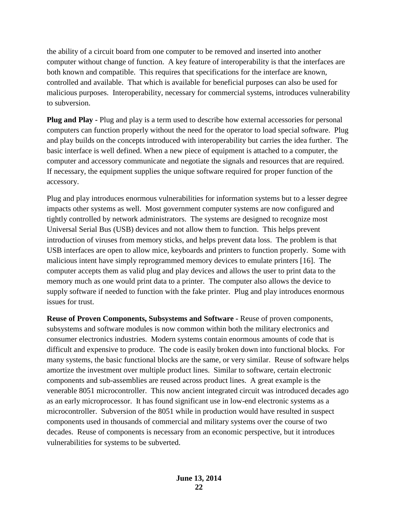the ability of a circuit board from one computer to be removed and inserted into another computer without change of function. A key feature of interoperability is that the interfaces are both known and compatible. This requires that specifications for the interface are known, controlled and available. That which is available for beneficial purposes can also be used for malicious purposes. Interoperability, necessary for commercial systems, introduces vulnerability to subversion.

**Plug and Play -** Plug and play is a term used to describe how external accessories for personal computers can function properly without the need for the operator to load special software. Plug and play builds on the concepts introduced with interoperability but carries the idea further. The basic interface is well defined. When a new piece of equipment is attached to a computer, the computer and accessory communicate and negotiate the signals and resources that are required. If necessary, the equipment supplies the unique software required for proper function of the accessory.

Plug and play introduces enormous vulnerabilities for information systems but to a lesser degree impacts other systems as well. Most government computer systems are now configured and tightly controlled by network administrators. The systems are designed to recognize most Universal Serial Bus (USB) devices and not allow them to function. This helps prevent introduction of viruses from memory sticks, and helps prevent data loss. The problem is that USB interfaces are open to allow mice, keyboards and printers to function properly. Some with malicious intent have simply reprogrammed memory devices to emulate printers [\[16\]](#page-36-15). The computer accepts them as valid plug and play devices and allows the user to print data to the memory much as one would print data to a printer. The computer also allows the device to supply software if needed to function with the fake printer. Plug and play introduces enormous issues for trust.

**Reuse of Proven Components, Subsystems and Software -** Reuse of proven components, subsystems and software modules is now common within both the military electronics and consumer electronics industries. Modern systems contain enormous amounts of code that is difficult and expensive to produce. The code is easily broken down into functional blocks. For many systems, the basic functional blocks are the same, or very similar. Reuse of software helps amortize the investment over multiple product lines. Similar to software, certain electronic components and sub-assemblies are reused across product lines. A great example is the venerable 8051 microcontroller. This now ancient integrated circuit was introduced decades ago as an early microprocessor. It has found significant use in low-end electronic systems as a microcontroller. Subversion of the 8051 while in production would have resulted in suspect components used in thousands of commercial and military systems over the course of two decades. Reuse of components is necessary from an economic perspective, but it introduces vulnerabilities for systems to be subverted.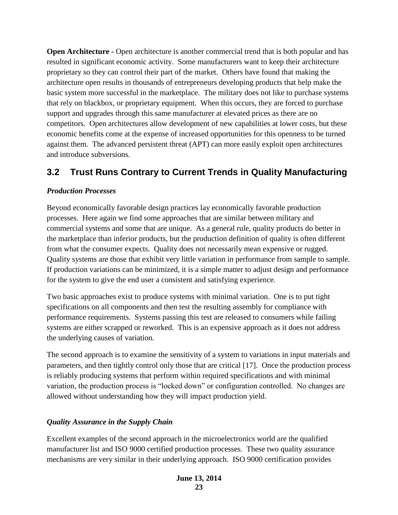**Open Architecture -** Open architecture is another commercial trend that is both popular and has resulted in significant economic activity. Some manufacturers want to keep their architecture proprietary so they can control their part of the market. Others have found that making the architecture open results in thousands of entrepreneurs developing products that help make the basic system more successful in the marketplace. The military does not like to purchase systems that rely on blackbox, or proprietary equipment. When this occurs, they are forced to purchase support and upgrades through this same manufacturer at elevated prices as there are no competitors. Open architectures allow development of new capabilities at lower costs, but these economic benefits come at the expense of increased opportunities for this openness to be turned against them. The advanced persistent threat (APT) can more easily exploit open architectures and introduce subversions.

## <span id="page-22-0"></span>**3.2 Trust Runs Contrary to Current Trends in Quality Manufacturing**

#### *Production Processes*

Beyond economically favorable design practices lay economically favorable production processes. Here again we find some approaches that are similar between military and commercial systems and some that are unique. As a general rule, quality products do better in the marketplace than inferior products, but the production definition of quality is often different from what the consumer expects. Quality does not necessarily mean expensive or rugged. Quality systems are those that exhibit very little variation in performance from sample to sample. If production variations can be minimized, it is a simple matter to adjust design and performance for the system to give the end user a consistent and satisfying experience.

Two basic approaches exist to produce systems with minimal variation. One is to put tight specifications on all components and then test the resulting assembly for compliance with performance requirements. Systems passing this test are released to consumers while failing systems are either scrapped or reworked. This is an expensive approach as it does not address the underlying causes of variation.

The second approach is to examine the sensitivity of a system to variations in input materials and parameters, and then tightly control only those that are critical [\[17\]](#page-36-16). Once the production process is reliably producing systems that perform within required specifications and with minimal variation, the production process is "locked down" or configuration controlled. No changes are allowed without understanding how they will impact production yield.

#### *Quality Assurance in the Supply Chain*

Excellent examples of the second approach in the microelectronics world are the qualified manufacturer list and ISO 9000 certified production processes. These two quality assurance mechanisms are very similar in their underlying approach. ISO 9000 certification provides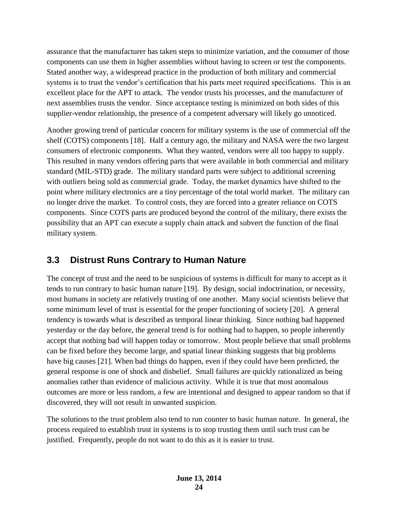assurance that the manufacturer has taken steps to minimize variation, and the consumer of those components can use them in higher assemblies without having to screen or test the components. Stated another way, a widespread practice in the production of both military and commercial systems is to trust the vendor's certification that his parts meet required specifications. This is an excellent place for the APT to attack. The vendor trusts his processes, and the manufacturer of next assemblies trusts the vendor. Since acceptance testing is minimized on both sides of this supplier-vendor relationship, the presence of a competent adversary will likely go unnoticed.

Another growing trend of particular concern for military systems is the use of commercial off the shelf (COTS) components [\[18\]](#page-36-17). Half a century ago, the military and NASA were the two largest consumers of electronic components. What they wanted, vendors were all too happy to supply. This resulted in many vendors offering parts that were available in both commercial and military standard (MIL-STD) grade. The military standard parts were subject to additional screening with outliers being sold as commercial grade. Today, the market dynamics have shifted to the point where military electronics are a tiny percentage of the total world market. The military can no longer drive the market. To control costs, they are forced into a greater reliance on COTS components. Since COTS parts are produced beyond the control of the military, there exists the possibility that an APT can execute a supply chain attack and subvert the function of the final military system.

## <span id="page-23-0"></span>**3.3 Distrust Runs Contrary to Human Nature**

The concept of trust and the need to be suspicious of systems is difficult for many to accept as it tends to run contrary to basic human nature [\[19\]](#page-36-18). By design, social indoctrination, or necessity, most humans in society are relatively trusting of one another. Many social scientists believe that some minimum level of trust is essential for the proper functioning of society [\[20\]](#page-37-0). A general tendency is towards what is described as temporal linear thinking. Since nothing bad happened yesterday or the day before, the general trend is for nothing bad to happen, so people inherently accept that nothing bad will happen today or tomorrow. Most people believe that small problems can be fixed before they become large, and spatial linear thinking suggests that big problems have big causes [\[21\]](#page-37-1). When bad things do happen, even if they could have been predicted, the general response is one of shock and disbelief. Small failures are quickly rationalized as being anomalies rather than evidence of malicious activity. While it is true that most anomalous outcomes are more or less random, a few are intentional and designed to appear random so that if discovered, they will not result in unwanted suspicion.

The solutions to the trust problem also tend to run counter to basic human nature. In general, the process required to establish trust in systems is to stop trusting them until such trust can be justified. Frequently, people do not want to do this as it is easier to trust.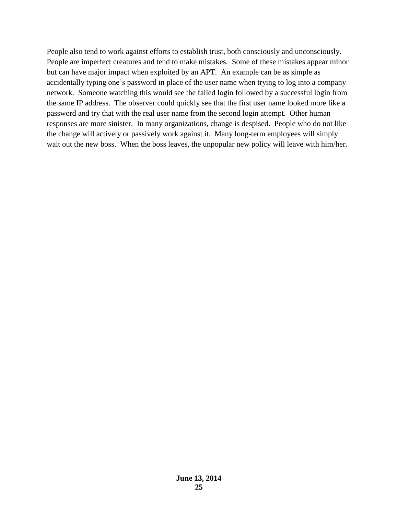People also tend to work against efforts to establish trust, both consciously and unconsciously. People are imperfect creatures and tend to make mistakes. Some of these mistakes appear minor but can have major impact when exploited by an APT. An example can be as simple as accidentally typing one's password in place of the user name when trying to log into a company network. Someone watching this would see the failed login followed by a successful login from the same IP address. The observer could quickly see that the first user name looked more like a password and try that with the real user name from the second login attempt. Other human responses are more sinister. In many organizations, change is despised. People who do not like the change will actively or passively work against it. Many long-term employees will simply wait out the new boss. When the boss leaves, the unpopular new policy will leave with him/her.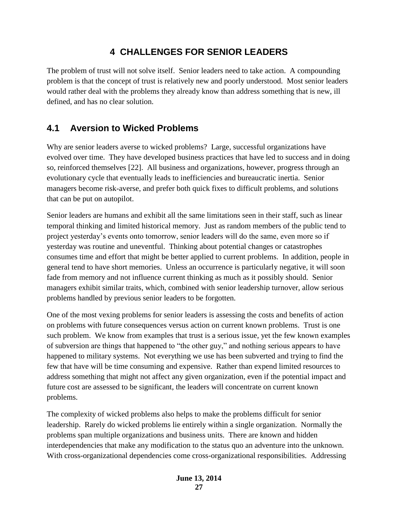## **4 CHALLENGES FOR SENIOR LEADERS**

<span id="page-26-0"></span>The problem of trust will not solve itself. Senior leaders need to take action. A compounding problem is that the concept of trust is relatively new and poorly understood. Most senior leaders would rather deal with the problems they already know than address something that is new, ill defined, and has no clear solution.

## <span id="page-26-1"></span>**4.1 Aversion to Wicked Problems**

Why are senior leaders averse to wicked problems? Large, successful organizations have evolved over time. They have developed business practices that have led to success and in doing so, reinforced themselves [\[22\]](#page-37-2). All business and organizations, however, progress through an evolutionary cycle that eventually leads to inefficiencies and bureaucratic inertia. Senior managers become risk-averse, and prefer both quick fixes to difficult problems, and solutions that can be put on autopilot.

Senior leaders are humans and exhibit all the same limitations seen in their staff, such as linear temporal thinking and limited historical memory. Just as random members of the public tend to project yesterday's events onto tomorrow, senior leaders will do the same, even more so if yesterday was routine and uneventful. Thinking about potential changes or catastrophes consumes time and effort that might be better applied to current problems. In addition, people in general tend to have short memories. Unless an occurrence is particularly negative, it will soon fade from memory and not influence current thinking as much as it possibly should. Senior managers exhibit similar traits, which, combined with senior leadership turnover, allow serious problems handled by previous senior leaders to be forgotten.

One of the most vexing problems for senior leaders is assessing the costs and benefits of action on problems with future consequences versus action on current known problems. Trust is one such problem. We know from examples that trust is a serious issue, yet the few known examples of subversion are things that happened to "the other guy," and nothing serious appears to have happened to military systems. Not everything we use has been subverted and trying to find the few that have will be time consuming and expensive. Rather than expend limited resources to address something that might not affect any given organization, even if the potential impact and future cost are assessed to be significant, the leaders will concentrate on current known problems.

The complexity of wicked problems also helps to make the problems difficult for senior leadership. Rarely do wicked problems lie entirely within a single organization. Normally the problems span multiple organizations and business units. There are known and hidden interdependencies that make any modification to the status quo an adventure into the unknown. With cross-organizational dependencies come cross-organizational responsibilities. Addressing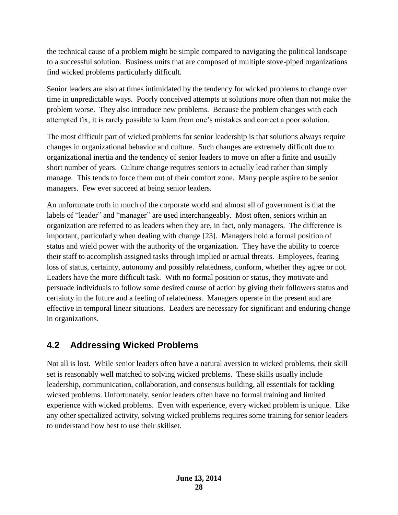the technical cause of a problem might be simple compared to navigating the political landscape to a successful solution. Business units that are composed of multiple stove-piped organizations find wicked problems particularly difficult.

Senior leaders are also at times intimidated by the tendency for wicked problems to change over time in unpredictable ways. Poorly conceived attempts at solutions more often than not make the problem worse. They also introduce new problems. Because the problem changes with each attempted fix, it is rarely possible to learn from one's mistakes and correct a poor solution.

The most difficult part of wicked problems for senior leadership is that solutions always require changes in organizational behavior and culture. Such changes are extremely difficult due to organizational inertia and the tendency of senior leaders to move on after a finite and usually short number of years. Culture change requires seniors to actually lead rather than simply manage. This tends to force them out of their comfort zone. Many people aspire to be senior managers. Few ever succeed at being senior leaders.

An unfortunate truth in much of the corporate world and almost all of government is that the labels of "leader" and "manager" are used interchangeably. Most often, seniors within an organization are referred to as leaders when they are, in fact, only managers. The difference is important, particularly when dealing with change [\[23\]](#page-37-3). Managers hold a formal position of status and wield power with the authority of the organization. They have the ability to coerce their staff to accomplish assigned tasks through implied or actual threats. Employees, fearing loss of status, certainty, autonomy and possibly relatedness, conform, whether they agree or not. Leaders have the more difficult task. With no formal position or status, they motivate and persuade individuals to follow some desired course of action by giving their followers status and certainty in the future and a feeling of relatedness. Managers operate in the present and are effective in temporal linear situations. Leaders are necessary for significant and enduring change in organizations.

## <span id="page-27-0"></span>**4.2 Addressing Wicked Problems**

Not all is lost. While senior leaders often have a natural aversion to wicked problems, their skill set is reasonably well matched to solving wicked problems. These skills usually include leadership, communication, collaboration, and consensus building, all essentials for tackling wicked problems. Unfortunately, senior leaders often have no formal training and limited experience with wicked problems. Even with experience, every wicked problem is unique. Like any other specialized activity, solving wicked problems requires some training for senior leaders to understand how best to use their skillset.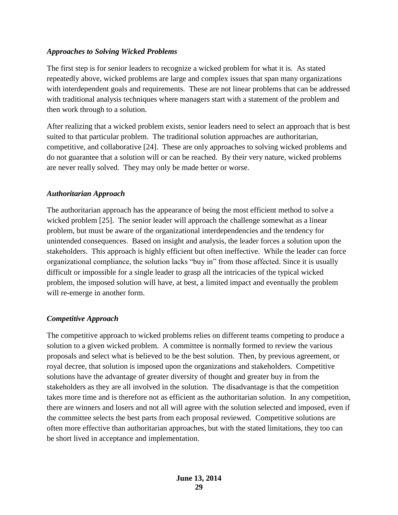#### *Approaches to Solving Wicked Problems*

The first step is for senior leaders to recognize a wicked problem for what it is. As stated repeatedly above, wicked problems are large and complex issues that span many organizations with interdependent goals and requirements. These are not linear problems that can be addressed with traditional analysis techniques where managers start with a statement of the problem and then work through to a solution.

After realizing that a wicked problem exists, senior leaders need to select an approach that is best suited to that particular problem. The traditional solution approaches are authoritarian, competitive, and collaborative [\[24\]](#page-37-4). These are only approaches to solving wicked problems and do not guarantee that a solution will or can be reached. By their very nature, wicked problems are never really solved. They may only be made better or worse.

## *Authoritarian Approach*

The authoritarian approach has the appearance of being the most efficient method to solve a wicked problem [\[25\]](#page-37-5). The senior leader will approach the challenge somewhat as a linear problem, but must be aware of the organizational interdependencies and the tendency for unintended consequences. Based on insight and analysis, the leader forces a solution upon the stakeholders. This approach is highly efficient but often ineffective. While the leader can force organizational compliance, the solution lacks "buy in" from those affected. Since it is usually difficult or impossible for a single leader to grasp all the intricacies of the typical wicked problem, the imposed solution will have, at best, a limited impact and eventually the problem will re-emerge in another form.

## *Competitive Approach*

The competitive approach to wicked problems relies on different teams competing to produce a solution to a given wicked problem. A committee is normally formed to review the various proposals and select what is believed to be the best solution. Then, by previous agreement, or royal decree, that solution is imposed upon the organizations and stakeholders. Competitive solutions have the advantage of greater diversity of thought and greater buy in from the stakeholders as they are all involved in the solution. The disadvantage is that the competition takes more time and is therefore not as efficient as the authoritarian solution. In any competition, there are winners and losers and not all will agree with the solution selected and imposed, even if the committee selects the best parts from each proposal reviewed. Competitive solutions are often more effective than authoritarian approaches, but with the stated limitations, they too can be short lived in acceptance and implementation.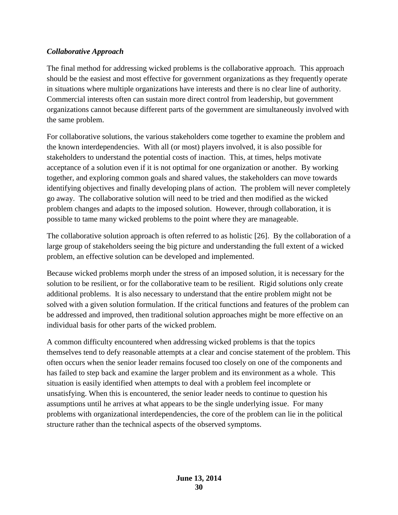#### *Collaborative Approach*

The final method for addressing wicked problems is the collaborative approach. This approach should be the easiest and most effective for government organizations as they frequently operate in situations where multiple organizations have interests and there is no clear line of authority. Commercial interests often can sustain more direct control from leadership, but government organizations cannot because different parts of the government are simultaneously involved with the same problem.

For collaborative solutions, the various stakeholders come together to examine the problem and the known interdependencies. With all (or most) players involved, it is also possible for stakeholders to understand the potential costs of inaction. This, at times, helps motivate acceptance of a solution even if it is not optimal for one organization or another. By working together, and exploring common goals and shared values, the stakeholders can move towards identifying objectives and finally developing plans of action. The problem will never completely go away. The collaborative solution will need to be tried and then modified as the wicked problem changes and adapts to the imposed solution. However, through collaboration, it is possible to tame many wicked problems to the point where they are manageable.

The collaborative solution approach is often referred to as holistic [\[26\]](#page-37-6). By the collaboration of a large group of stakeholders seeing the big picture and understanding the full extent of a wicked problem, an effective solution can be developed and implemented.

Because wicked problems morph under the stress of an imposed solution, it is necessary for the solution to be resilient, or for the collaborative team to be resilient. Rigid solutions only create additional problems. It is also necessary to understand that the entire problem might not be solved with a given solution formulation. If the critical functions and features of the problem can be addressed and improved, then traditional solution approaches might be more effective on an individual basis for other parts of the wicked problem.

A common difficulty encountered when addressing wicked problems is that the topics themselves tend to defy reasonable attempts at a clear and concise statement of the problem. This often occurs when the senior leader remains focused too closely on one of the components and has failed to step back and examine the larger problem and its environment as a whole. This situation is easily identified when attempts to deal with a problem feel incomplete or unsatisfying. When this is encountered, the senior leader needs to continue to question his assumptions until he arrives at what appears to be the single underlying issue. For many problems with organizational interdependencies, the core of the problem can lie in the political structure rather than the technical aspects of the observed symptoms.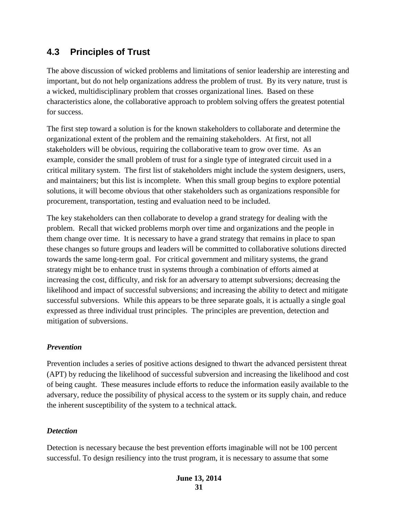## <span id="page-30-0"></span>**4.3 Principles of Trust**

The above discussion of wicked problems and limitations of senior leadership are interesting and important, but do not help organizations address the problem of trust. By its very nature, trust is a wicked, multidisciplinary problem that crosses organizational lines. Based on these characteristics alone, the collaborative approach to problem solving offers the greatest potential for success.

The first step toward a solution is for the known stakeholders to collaborate and determine the organizational extent of the problem and the remaining stakeholders. At first, not all stakeholders will be obvious, requiring the collaborative team to grow over time. As an example, consider the small problem of trust for a single type of integrated circuit used in a critical military system. The first list of stakeholders might include the system designers, users, and maintainers; but this list is incomplete. When this small group begins to explore potential solutions, it will become obvious that other stakeholders such as organizations responsible for procurement, transportation, testing and evaluation need to be included.

The key stakeholders can then collaborate to develop a grand strategy for dealing with the problem. Recall that wicked problems morph over time and organizations and the people in them change over time. It is necessary to have a grand strategy that remains in place to span these changes so future groups and leaders will be committed to collaborative solutions directed towards the same long-term goal. For critical government and military systems, the grand strategy might be to enhance trust in systems through a combination of efforts aimed at increasing the cost, difficulty, and risk for an adversary to attempt subversions; decreasing the likelihood and impact of successful subversions; and increasing the ability to detect and mitigate successful subversions. While this appears to be three separate goals, it is actually a single goal expressed as three individual trust principles. The principles are prevention, detection and mitigation of subversions.

## *Prevention*

Prevention includes a series of positive actions designed to thwart the advanced persistent threat (APT) by reducing the likelihood of successful subversion and increasing the likelihood and cost of being caught. These measures include efforts to reduce the information easily available to the adversary, reduce the possibility of physical access to the system or its supply chain, and reduce the inherent susceptibility of the system to a technical attack.

#### *Detection*

Detection is necessary because the best prevention efforts imaginable will not be 100 percent successful. To design resiliency into the trust program, it is necessary to assume that some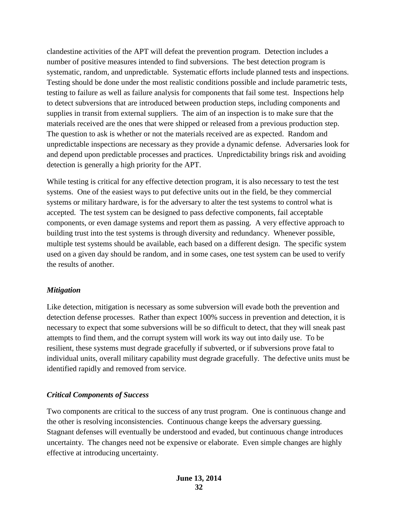clandestine activities of the APT will defeat the prevention program. Detection includes a number of positive measures intended to find subversions. The best detection program is systematic, random, and unpredictable. Systematic efforts include planned tests and inspections. Testing should be done under the most realistic conditions possible and include parametric tests, testing to failure as well as failure analysis for components that fail some test. Inspections help to detect subversions that are introduced between production steps, including components and supplies in transit from external suppliers. The aim of an inspection is to make sure that the materials received are the ones that were shipped or released from a previous production step. The question to ask is whether or not the materials received are as expected. Random and unpredictable inspections are necessary as they provide a dynamic defense. Adversaries look for and depend upon predictable processes and practices. Unpredictability brings risk and avoiding detection is generally a high priority for the APT.

While testing is critical for any effective detection program, it is also necessary to test the test systems. One of the easiest ways to put defective units out in the field, be they commercial systems or military hardware, is for the adversary to alter the test systems to control what is accepted. The test system can be designed to pass defective components, fail acceptable components, or even damage systems and report them as passing. A very effective approach to building trust into the test systems is through diversity and redundancy. Whenever possible, multiple test systems should be available, each based on a different design. The specific system used on a given day should be random, and in some cases, one test system can be used to verify the results of another.

#### *Mitigation*

Like detection, mitigation is necessary as some subversion will evade both the prevention and detection defense processes. Rather than expect 100% success in prevention and detection, it is necessary to expect that some subversions will be so difficult to detect, that they will sneak past attempts to find them, and the corrupt system will work its way out into daily use. To be resilient, these systems must degrade gracefully if subverted, or if subversions prove fatal to individual units, overall military capability must degrade gracefully. The defective units must be identified rapidly and removed from service.

#### *Critical Components of Success*

Two components are critical to the success of any trust program. One is continuous change and the other is resolving inconsistencies. Continuous change keeps the adversary guessing. Stagnant defenses will eventually be understood and evaded, but continuous change introduces uncertainty. The changes need not be expensive or elaborate. Even simple changes are highly effective at introducing uncertainty.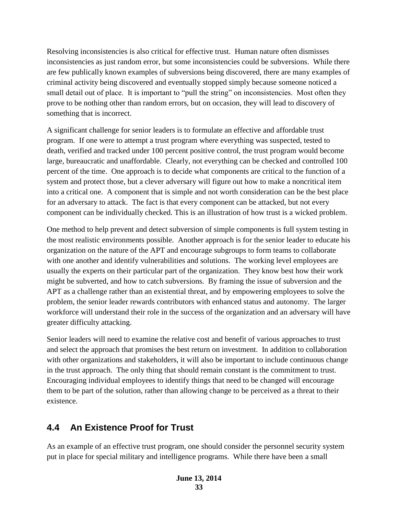Resolving inconsistencies is also critical for effective trust. Human nature often dismisses inconsistencies as just random error, but some inconsistencies could be subversions. While there are few publically known examples of subversions being discovered, there are many examples of criminal activity being discovered and eventually stopped simply because someone noticed a small detail out of place. It is important to "pull the string" on inconsistencies. Most often they prove to be nothing other than random errors, but on occasion, they will lead to discovery of something that is incorrect.

A significant challenge for senior leaders is to formulate an effective and affordable trust program. If one were to attempt a trust program where everything was suspected, tested to death, verified and tracked under 100 percent positive control, the trust program would become large, bureaucratic and unaffordable. Clearly, not everything can be checked and controlled 100 percent of the time. One approach is to decide what components are critical to the function of a system and protect those, but a clever adversary will figure out how to make a noncritical item into a critical one. A component that is simple and not worth consideration can be the best place for an adversary to attack. The fact is that every component can be attacked, but not every component can be individually checked. This is an illustration of how trust is a wicked problem.

One method to help prevent and detect subversion of simple components is full system testing in the most realistic environments possible. Another approach is for the senior leader to educate his organization on the nature of the APT and encourage subgroups to form teams to collaborate with one another and identify vulnerabilities and solutions. The working level employees are usually the experts on their particular part of the organization. They know best how their work might be subverted, and how to catch subversions. By framing the issue of subversion and the APT as a challenge rather than an existential threat, and by empowering employees to solve the problem, the senior leader rewards contributors with enhanced status and autonomy. The larger workforce will understand their role in the success of the organization and an adversary will have greater difficulty attacking.

Senior leaders will need to examine the relative cost and benefit of various approaches to trust and select the approach that promises the best return on investment. In addition to collaboration with other organizations and stakeholders, it will also be important to include continuous change in the trust approach. The only thing that should remain constant is the commitment to trust. Encouraging individual employees to identify things that need to be changed will encourage them to be part of the solution, rather than allowing change to be perceived as a threat to their existence.

## <span id="page-32-0"></span>**4.4 An Existence Proof for Trust**

As an example of an effective trust program, one should consider the personnel security system put in place for special military and intelligence programs. While there have been a small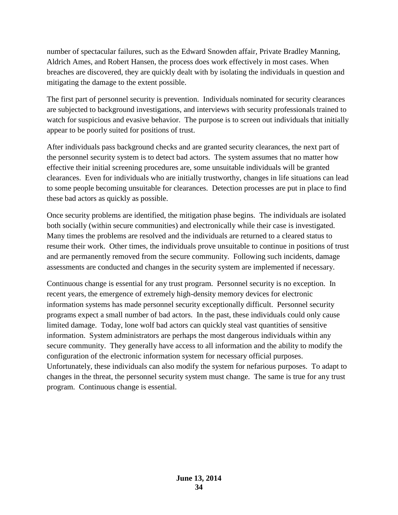number of spectacular failures, such as the Edward Snowden affair, Private Bradley Manning, Aldrich Ames, and Robert Hansen, the process does work effectively in most cases. When breaches are discovered, they are quickly dealt with by isolating the individuals in question and mitigating the damage to the extent possible.

The first part of personnel security is prevention. Individuals nominated for security clearances are subjected to background investigations, and interviews with security professionals trained to watch for suspicious and evasive behavior. The purpose is to screen out individuals that initially appear to be poorly suited for positions of trust.

After individuals pass background checks and are granted security clearances, the next part of the personnel security system is to detect bad actors. The system assumes that no matter how effective their initial screening procedures are, some unsuitable individuals will be granted clearances. Even for individuals who are initially trustworthy, changes in life situations can lead to some people becoming unsuitable for clearances. Detection processes are put in place to find these bad actors as quickly as possible.

Once security problems are identified, the mitigation phase begins. The individuals are isolated both socially (within secure communities) and electronically while their case is investigated. Many times the problems are resolved and the individuals are returned to a cleared status to resume their work. Other times, the individuals prove unsuitable to continue in positions of trust and are permanently removed from the secure community. Following such incidents, damage assessments are conducted and changes in the security system are implemented if necessary.

Continuous change is essential for any trust program. Personnel security is no exception. In recent years, the emergence of extremely high-density memory devices for electronic information systems has made personnel security exceptionally difficult. Personnel security programs expect a small number of bad actors. In the past, these individuals could only cause limited damage. Today, lone wolf bad actors can quickly steal vast quantities of sensitive information. System administrators are perhaps the most dangerous individuals within any secure community. They generally have access to all information and the ability to modify the configuration of the electronic information system for necessary official purposes. Unfortunately, these individuals can also modify the system for nefarious purposes. To adapt to changes in the threat, the personnel security system must change. The same is true for any trust program. Continuous change is essential.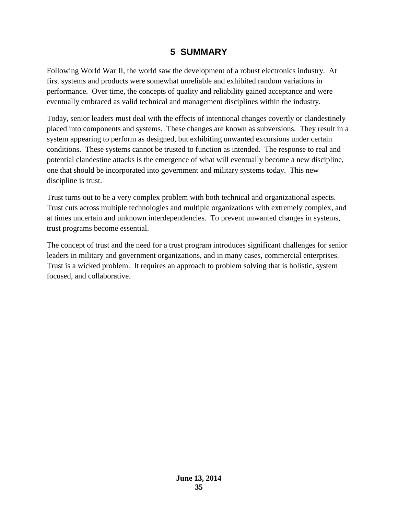## **5 SUMMARY**

<span id="page-34-0"></span>Following World War II, the world saw the development of a robust electronics industry. At first systems and products were somewhat unreliable and exhibited random variations in performance. Over time, the concepts of quality and reliability gained acceptance and were eventually embraced as valid technical and management disciplines within the industry.

Today, senior leaders must deal with the effects of intentional changes covertly or clandestinely placed into components and systems. These changes are known as subversions. They result in a system appearing to perform as designed, but exhibiting unwanted excursions under certain conditions. These systems cannot be trusted to function as intended. The response to real and potential clandestine attacks is the emergence of what will eventually become a new discipline, one that should be incorporated into government and military systems today. This new discipline is trust.

Trust turns out to be a very complex problem with both technical and organizational aspects. Trust cuts across multiple technologies and multiple organizations with extremely complex, and at times uncertain and unknown interdependencies. To prevent unwanted changes in systems, trust programs become essential.

The concept of trust and the need for a trust program introduces significant challenges for senior leaders in military and government organizations, and in many cases, commercial enterprises. Trust is a wicked problem. It requires an approach to problem solving that is holistic, system focused, and collaborative.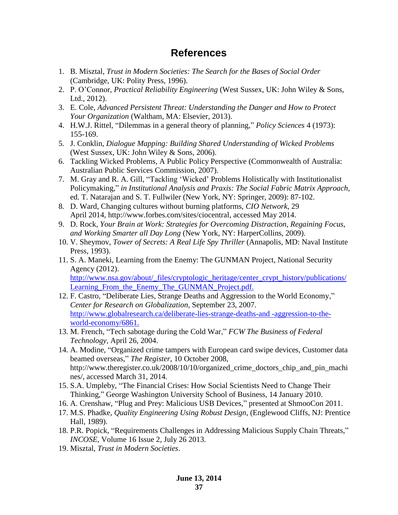## **References**

- <span id="page-36-0"></span>1. B. Misztal, *Trust in Modern Societies: The Search for the Bases of Social Order* (Cambridge, UK: Polity Press, 1996).
- <span id="page-36-1"></span>2. P. O'Connor, *Practical Reliability Engineering* (West Sussex, UK: John Wiley & Sons, Ltd., 2012).
- <span id="page-36-2"></span>3. E. Cole, *Advanced Persistent Threat: Understanding the Danger and How to Protect Your Organization* (Waltham, MA: Elsevier, 2013).
- <span id="page-36-3"></span>4. H.W.J. Rittel, "Dilemmas in a general theory of planning," *Policy Sciences* 4 (1973): 155-169.
- <span id="page-36-4"></span>5. J. Conklin, *Dialogue Mapping: Building Shared Understanding of Wicked Problems* (West Sussex, UK: John Wiley & Sons, 2006).
- <span id="page-36-5"></span>6. Tackling Wicked Problems, A Public Policy Perspective (Commonwealth of Australia: Australian Public Services Commission, 2007).
- <span id="page-36-6"></span>7. M. Gray and R. A. Gill, "Tackling 'Wicked' Problems Holistically with Institutionalist Policymaking," *in Institutional Analysis and Praxis: The Social Fabric Matrix Approach*, ed. T. Natarajan and S. T. Fullwiler (New York, NY: Springer, 2009): 87-102.
- <span id="page-36-7"></span>8. D. Ward, Changing cultures without burning platforms, *CIO Network*, 29 April 2014, http://www.forbes.com/sites/ciocentral, accessed May 2014.
- <span id="page-36-8"></span>9. D. Rock, *Your Brain at Work: Strategies for Overcoming Distraction, Regaining Focus, and Working Smarter all Day Long* (New York, NY: HarperCollins, 2009).
- <span id="page-36-9"></span>10. V. Sheymov, *Tower of Secrets: A Real Life Spy Thriller* (Annapolis, MD: Naval Institute Press, 1993).
- <span id="page-36-10"></span>11. S. A. Maneki, Learning from the Enemy: The GUNMAN Project, National Security Agency (2012).

http://www.nsa.gov/about/\_files/cryptologic\_heritage/center\_crypt\_history/publications/ Learning\_From\_the\_Enemy\_The\_GUNMAN\_Project.pdf.

- <span id="page-36-11"></span>12. F. Castro, "Deliberate Lies, Strange Deaths and Aggression to the World Economy," *Center for Research on Globalization*, September 23, 2007. http://www.globalresearch.ca/deliberate-lies-strange-deaths-and -aggression-to-theworld-economy/6861.
- <span id="page-36-12"></span>13. M. French, "Tech sabotage during the Cold War," *FCW The Business of Federal Technology,* April 26, 2004.
- <span id="page-36-13"></span>14. A. Modine, "Organized crime tampers with European card swipe devices, Customer data beamed overseas," *The Register*, 10 October 2008, http://www.theregister.co.uk/2008/10/10/organized\_crime\_doctors\_chip\_and\_pin\_machi nes/, accessed March 31, 2014.
- <span id="page-36-14"></span>15. S.A. Umpleby, "The Financial Crises: How Social Scientists Need to Change Their Thinking," George Washington University School of Business, 14 January 2010.
- <span id="page-36-15"></span>16. A. Crenshaw, "Plug and Prey: Malicious USB Devices," presented at ShmooCon 2011.
- <span id="page-36-16"></span>17. M.S. Phadke, *Quality Engineering Using Robust Design*, (Englewood Cliffs, NJ: Prentice Hall, 1989).
- <span id="page-36-17"></span>18. P.R. Popick, "Requirements Challenges in Addressing Malicious Supply Chain Threats," *INCOSE*, Volume 16 Issue 2, July 26 2013.
- <span id="page-36-18"></span>19. Misztal, *Trust in Modern Societies*.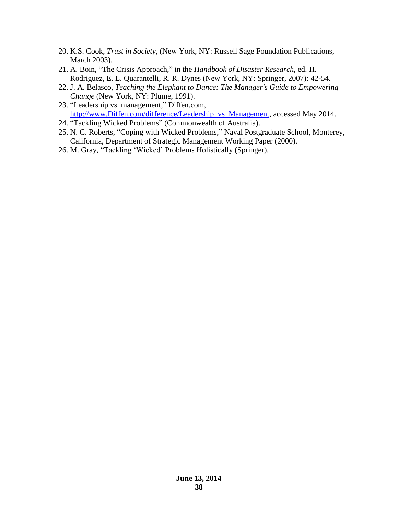- <span id="page-37-0"></span>20. K.S. Cook, *Trust in Society,* (New York, NY: Russell Sage Foundation Publications, March 2003).
- <span id="page-37-1"></span>21. A. Boin, "The Crisis Approach," in the *Handbook of Disaster Research*, ed. H. Rodriguez, E. L. Quarantelli, R. R. Dynes (New York, NY: Springer, 2007): 42-54.
- <span id="page-37-2"></span>22. J. A. Belasco, *Teaching the Elephant to Dance: The Manager's Guide to Empowering Change* (New York, NY: Plume, 1991).
- <span id="page-37-3"></span>23. "Leadership vs. management," Diffen.com, http://www.Diffen.com/difference/Leadership\_vs\_Management, accessed May 2014.
- <span id="page-37-4"></span>24. "Tackling Wicked Problems" (Commonwealth of Australia).
- <span id="page-37-5"></span>25. N. C. Roberts, "Coping with Wicked Problems," Naval Postgraduate School, Monterey, California, Department of Strategic Management Working Paper (2000).
- <span id="page-37-6"></span>26. M. Gray, "Tackling 'Wicked' Problems Holistically (Springer).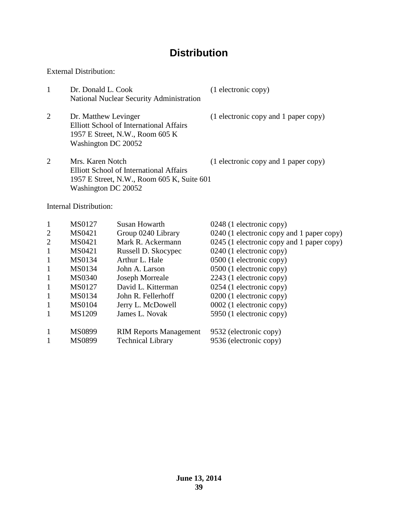## **Distribution**

#### External Distribution:

| $\mathbf{1}$ | Dr. Donald L. Cook                                                                                                               | <b>National Nuclear Security Administration</b>          | (1 electronic copy)                                                                                                |
|--------------|----------------------------------------------------------------------------------------------------------------------------------|----------------------------------------------------------|--------------------------------------------------------------------------------------------------------------------|
| 2            | Dr. Matthew Levinger<br><b>Elliott School of International Affairs</b><br>1957 E Street, N.W., Room 605 K<br>Washington DC 20052 |                                                          | (1 electronic copy and 1 paper copy)                                                                               |
| 2            | Mrs. Karen Notch<br>Elliott School of International Affairs<br>1957 E Street, N.W., Room 605 K, Suite 601<br>Washington DC 20052 |                                                          | (1 electronic copy and 1 paper copy)                                                                               |
|              | Internal Distribution:                                                                                                           |                                                          |                                                                                                                    |
| 2<br>2       | MS0127<br>MS0421<br>MS0421                                                                                                       | Susan Howarth<br>Group 0240 Library<br>Mark R. Ackermann | 0248 (1 electronic copy)<br>0240 (1 electronic copy and 1 paper copy)<br>0245 (1 electronic copy and 1 paper copy) |
|              | MS0421                                                                                                                           | Russell D. Skocypec                                      | 0240 (1 electronic copy)                                                                                           |

1 MS0134 Arthur L. Hale 0500 (1 electronic copy) 1 MS0134 John A. Larson 0500 (1 electronic copy) 1 MS0340 Joseph Morreale 2243 (1 electronic copy) 1 MS0127 David L. Kitterman 0254 (1 electronic copy) 1 MS0134 John R. Fellerhoff 0200 (1 electronic copy) 1 MS0104 Jerry L. McDowell 0002 (1 electronic copy) 1 MS1209 James L. Novak 5950 (1 electronic copy)

1 MS0899 RIM Reports Management 9532 (electronic copy) 1 MS0899 Technical Library 9536 (electronic copy)